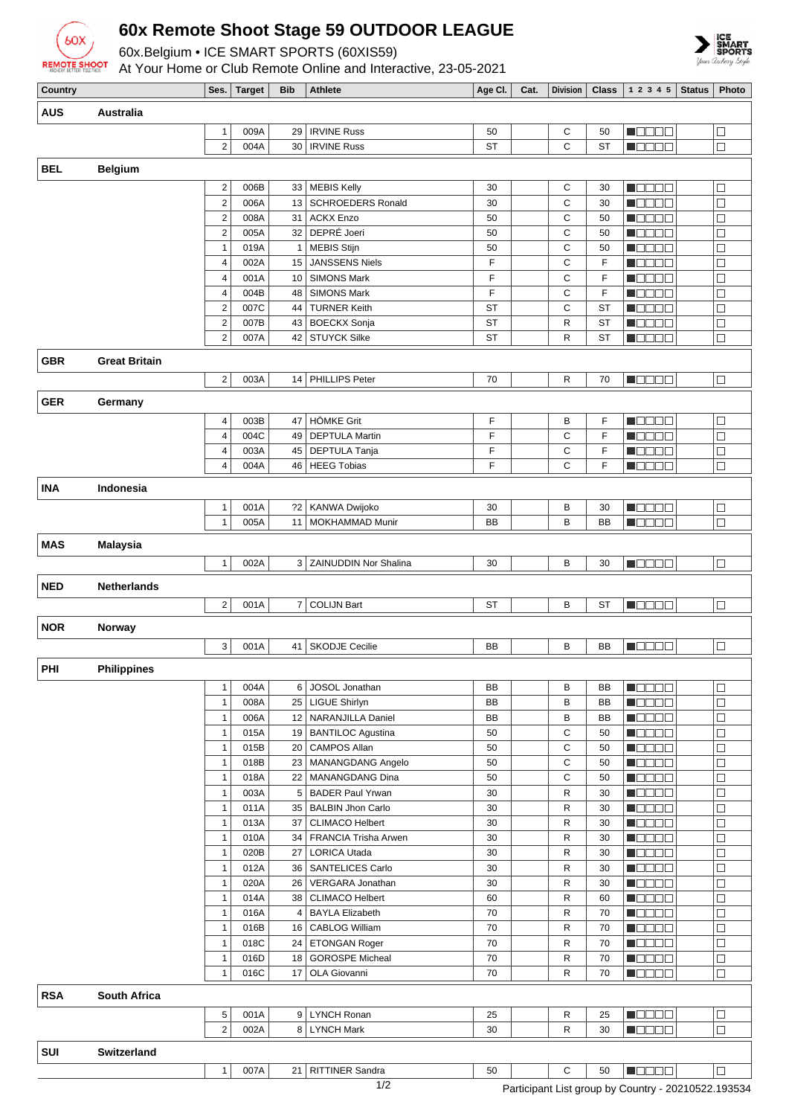

## **60x Remote Shoot Stage 59 OUTDOOR LEAGUE**

60x.Belgium • ICE SMART SPORTS (60XIS59)



At Your Home or Club Remote Online and Interactive, 23-05-2021

| Country    |                      |                         | Ses.   Target | Bib            | <b>Athlete</b>           | Age CI.   | Cat. | Division     |           | <b>Class</b>   1 2 3 4 5   Status            | <b>Photo</b> |
|------------|----------------------|-------------------------|---------------|----------------|--------------------------|-----------|------|--------------|-----------|----------------------------------------------|--------------|
| <b>AUS</b> | Australia            |                         |               |                |                          |           |      |              |           |                                              |              |
|            |                      |                         |               |                |                          |           |      |              |           |                                              |              |
|            |                      | 1                       | 009A          | 29             | <b>IRVINE Russ</b>       | 50        |      | С            | 50        | N BELE                                       | $\Box$       |
|            |                      | $\overline{2}$          | 004A          | 30             | <b>IRVINE Russ</b>       | <b>ST</b> |      | C            | <b>ST</b> | <b>REBEE</b>                                 | $\Box$       |
| BEL        | <b>Belgium</b>       |                         |               |                |                          |           |      |              |           |                                              |              |
|            |                      | $\overline{\mathbf{c}}$ | 006B          | 33             | <b>MEBIS Kelly</b>       | 30        |      | C            | 30        | n da da                                      | $\Box$       |
|            |                      | $\overline{\mathbf{c}}$ | 006A          | 13             | <b>SCHROEDERS Ronald</b> | 30        |      | C            | 30        | n a a a a                                    | $\Box$       |
|            |                      | $\overline{c}$          | 008A          | 31             | <b>ACKX Enzo</b>         | 50        |      | С            | 50        | n oo oo a                                    | $\Box$       |
|            |                      | $\mathbf 2$             | 005A          | 32             | DEPRÉ Joeri              | 50        |      | C            | 50        | n oo oo                                      | $\Box$       |
|            |                      | $\mathbf{1}$            | 019A          | $\mathbf{1}$   | <b>MEBIS Stijn</b>       | 50        |      | C            | 50        | M D D D D                                    | $\Box$       |
|            |                      | 4                       | 002A          | 15             | <b>JANSSENS Niels</b>    | F         |      | C            | F         | M DE E E                                     | $\Box$       |
|            |                      | 4                       | 001A          | 10             | <b>SIMONS Mark</b>       | F         |      | C            | F         | n de de                                      | $\Box$       |
|            |                      | 4                       | 004B          | 48             | <b>SIMONS Mark</b>       | F         |      | C            | F         | n oo oo                                      | $\Box$       |
|            |                      |                         |               |                |                          | <b>ST</b> |      | C            |           |                                              | $\Box$       |
|            |                      | $\boldsymbol{2}$        | 007C          | 44             | <b>TURNER Keith</b>      |           |      |              | <b>ST</b> | N D D D D                                    |              |
|            |                      | $\mathbf 2$             | 007B          | 43             | <b>BOECKX Sonja</b>      | <b>ST</b> |      | $\mathsf{R}$ | <b>ST</b> | M DE E E                                     | $\Box$       |
|            |                      | $\overline{2}$          | 007A          | 42             | <b>STUYCK Silke</b>      | <b>ST</b> |      | $\mathsf{R}$ | <b>ST</b> | n Beec                                       | $\Box$       |
| <b>GBR</b> | <b>Great Britain</b> |                         |               |                |                          |           |      |              |           |                                              |              |
|            |                      | $\overline{c}$          | 003A          | 14             | PHILLIPS Peter           | 70        |      | R            | 70        | <b>RECEPTE</b>                               | $\Box$       |
|            |                      |                         |               |                |                          |           |      |              |           |                                              |              |
| <b>GER</b> | Germany              |                         |               |                |                          |           |      |              |           |                                              |              |
|            |                      | 4                       | 003B          | 47             | <b>HÖMKE Grit</b>        | F         |      | B            | F         | n aan a                                      | $\Box$       |
|            |                      | 4                       | 004C          | 49             | <b>DEPTULA Martin</b>    | F         |      | C            | F         | N BE BE                                      | $\Box$       |
|            |                      | 4                       | 003A          | 45             | <b>DEPTULA Tanja</b>     | F         |      | C            | F         | M O O O C                                    | $\Box$       |
|            |                      | $\overline{4}$          | 004A          | 46             | <b>HEEG Tobias</b>       | F         |      | C            | F         | N BELE                                       | $\Box$       |
|            |                      |                         |               |                |                          |           |      |              |           |                                              |              |
| <b>INA</b> | Indonesia            |                         |               |                |                          |           |      |              |           |                                              |              |
|            |                      | 1                       | 001A          | 22             | KANWA Dwijoko            | 30        |      | В            | 30        | N BELE                                       | $\Box$       |
|            |                      | 1                       | 005A          | 11             | MOKHAMMAD Munir          | BB        |      | B            | BB        | n de de                                      | $\Box$       |
| <b>MAS</b> |                      |                         |               |                |                          |           |      |              |           |                                              |              |
|            | <b>Malaysia</b>      |                         |               |                |                          |           |      |              |           |                                              |              |
|            |                      | 1                       | 002A          |                | 3 ZAINUDDIN Nor Shalina  | 30        |      | В            | 30        | <b>REGEE</b>                                 | $\Box$       |
| <b>NED</b> | <b>Netherlands</b>   |                         |               |                |                          |           |      |              |           |                                              |              |
|            |                      |                         |               |                |                          |           |      |              |           |                                              |              |
|            |                      | $\overline{2}$          | 001A          | $\overline{7}$ | <b>COLIJN Bart</b>       | <b>ST</b> |      | B            | <b>ST</b> | <b>MODES</b>                                 | $\Box$       |
| <b>NOR</b> | Norway               |                         |               |                |                          |           |      |              |           |                                              |              |
|            |                      | 3                       | 001A          | 41             | <b>SKODJE Cecilie</b>    | BB        |      | В            | <b>BB</b> | N BEET                                       | $\Box$       |
|            |                      |                         |               |                |                          |           |      |              |           |                                              |              |
| PHI        | <b>Philippines</b>   |                         |               |                |                          |           |      |              |           |                                              |              |
|            |                      | $\mathbf{1}$            | 004A          | 6              | JOSOL Jonathan           | BB        |      | в            | BB        | <b>NODDD</b>                                 | $\Box$       |
|            |                      | $\mathbf{1}$            | 008A          |                | 25   LIGUE Shirlyn       | BB        |      | B            | BB        | MOOOO                                        | $\Box$       |
|            |                      | $\mathbf{1}$            | 006A          |                | 12   NARANJILLA Daniel   | BB        |      | B            | BB        | $\blacksquare$                               | $\Box$       |
|            |                      | $\mathbf{1}$            | 015A          |                | 19   BANTILOC Agustina   | 50        |      | С            | 50        | MOOOO                                        | $\Box$       |
|            |                      | 1                       | 015B          | 20             | <b>CAMPOS Allan</b>      | 50        |      | $\mathbf C$  | 50        | <b>HELLE</b>                                 | $\Box$       |
|            |                      | $\mathbf{1}$            | 018B          |                | 23   MANANGDANG Angelo   | 50        |      | C            | 50        | <b>M</b> OOOO                                | $\Box$       |
|            |                      | 1                       | 018A          |                | 22   MANANGDANG Dina     | 50        |      | С            | 50        | Maaaa                                        | $\Box$       |
|            |                      | $\mathbf{1}$            | 003A          | 5              | <b>BADER Paul Yrwan</b>  | 30        |      | $\mathsf{R}$ | 30        | M O O O O                                    | $\Box$       |
|            |                      | $\mathbf{1}$            | 011A          |                | 35   BALBIN Jhon Carlo   | 30        |      | R            | 30        | <b>REBEE</b>                                 | $\Box$       |
|            |                      | $\mathbf{1}$            | 013A          | 37             | <b>CLIMACO Helbert</b>   | 30        |      | R            | 30        | <b>M</b> OOOO                                | $\Box$       |
|            |                      | 1                       | 010A          | 34 l           | FRANCIA Trisha Arwen     | 30        |      | R            | 30        | MOOOC                                        | □            |
|            |                      | $\mathbf{1}$            | 020B          | 27             | <b>LORICA Utada</b>      | 30        |      | R            | 30        | N O D D O                                    | $\Box$       |
|            |                      | $\mathbf{1}$            | 012A          | 36             | SANTELICES Carlo         | 30        |      | R            | 30        | N DE SE                                      | $\Box$       |
|            |                      | 1                       | 020A          | 26             | VERGARA Jonathan         | 30        |      | R            | 30        | $\blacksquare$                               | $\Box$       |
|            |                      | 1                       | 014A          |                | 38   CLIMACO Helbert     | 60        |      | R            | 60        | M O D O O                                    | $\Box$       |
|            |                      | 1                       | 016A          | 4              | <b>BAYLA Elizabeth</b>   | 70        |      | R            | 70        | MODOO                                        | $\Box$       |
|            |                      | $\mathbf{1}$            | 016B          | 16             | <b>CABLOG William</b>    | 70        |      | ${\sf R}$    | 70        | <b>H</b> OOOO                                | $\Box$       |
|            |                      | 1                       | 018C          | 24             | ETONGAN Roger            | 70        |      | R            | 70        | <u> E BELE</u>                               | $\Box$       |
|            |                      | $\mathbf{1}$            | 016D          | 18             | <b>GOROSPE Micheal</b>   | 70        |      | R            | 70        | MOOOC                                        | $\Box$       |
|            |                      | $\mathbf{1}$            | 016C          | 17             | OLA Giovanni             | 70        |      | R            | 70        | $\blacksquare$ $\square$ $\square$ $\square$ | $\Box$       |
|            |                      |                         |               |                |                          |           |      |              |           |                                              |              |
| <b>RSA</b> | <b>South Africa</b>  |                         |               |                |                          |           |      |              |           |                                              |              |
|            |                      | 5                       | 001A          |                | 9 LYNCH Ronan            | 25        |      | R            | 25        | <b>REBEE</b>                                 | $\Box$       |
|            |                      | $\overline{2}$          | 002A          |                | 8   LYNCH Mark           | 30        |      | R            | 30        | $\blacksquare$                               | $\Box$       |
|            |                      |                         |               |                |                          |           |      |              |           |                                              |              |
| SUI        | <b>Switzerland</b>   |                         |               |                |                          |           |      |              |           |                                              |              |
|            |                      | $\mathbf{1}$            | 007A          |                | 21   RITTINER Sandra     | 50        |      | С            | 50        | <b>HOOOO</b>                                 | $\Box$       |